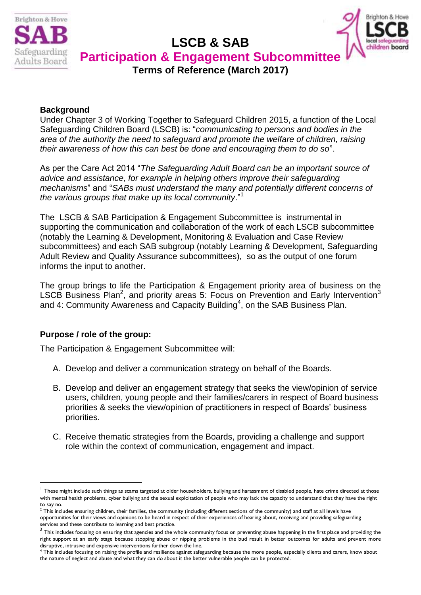

# **LSCB & SAB**



**Participation & Engagement Subcommittee**

**Terms of Reference (March 2017)**

# **Background**

Under Chapter 3 of Working Together to Safeguard Children 2015, a function of the Local Safeguarding Children Board (LSCB) is: "*communicating to persons and bodies in the area of the authority the need to safeguard and promote the welfare of children, raising their awareness of how this can best be done and encouraging them to do so*".

As per the Care Act 2014 "*The Safeguarding Adult Board can be an important source of advice and assistance, for example in helping others improve their safeguarding mechanisms*" and "*SABs must understand the many and potentially different concerns of the various groups that make up its local community*." 1

The LSCB & SAB Participation & Engagement Subcommittee is instrumental in supporting the communication and collaboration of the work of each LSCB subcommittee (notably the Learning & Development, Monitoring & Evaluation and Case Review subcommittees) and each SAB subgroup (notably Learning & Development, Safeguarding Adult Review and Quality Assurance subcommittees), so as the output of one forum informs the input to another.

The group brings to life the Participation & Engagement priority area of business on the LSCB Business Plan<sup>2</sup>, and priority areas 5: Focus on Prevention and Early Intervention<sup>3</sup> and 4: Community Awareness and Capacity Building<sup>4</sup>, on the SAB Business Plan.

# **Purpose / role of the group:**

1

The Participation & Engagement Subcommittee will:

- A. Develop and deliver a communication strategy on behalf of the Boards.
- B. Develop and deliver an engagement strategy that seeks the view/opinion of service users, children, young people and their families/carers in respect of Board business priorities & seeks the view/opinion of practitioners in respect of Boards' business priorities.
- C. Receive thematic strategies from the Boards, providing a challenge and support role within the context of communication, engagement and impact.

 $^{\text{1}}$  These might include such things as scams targeted at older householders, bullying and harassment of disabled people, hate crime directed at those with mental health problems, cyber bullying and the sexual exploitation of people who may lack the capacity to understand that they have the right to say no.

 $^2$  This includes ensuring children, their families, the community (including different sections of the community) and staff at all levels have opportunities for their views and opinions to be heard in respect of their experiences of hearing about, receiving and providing safeguarding services and these contribute to learning and best practice.

 $^3$  This includes focusing on ensuring that agencies and the whole community focus on preventing abuse happening in the first place and providing the right support at an early stage because stopping abuse or nipping problems in the bud result in better outcomes for adults and prevent more disruptive, intrusive and expensive interventions further down the line.

<sup>4</sup> This includes focusing on raising the profile and resilience against safeguarding because the more people, especially clients and carers, know about the nature of neglect and abuse and what they can do about it the better vulnerable people can be protected.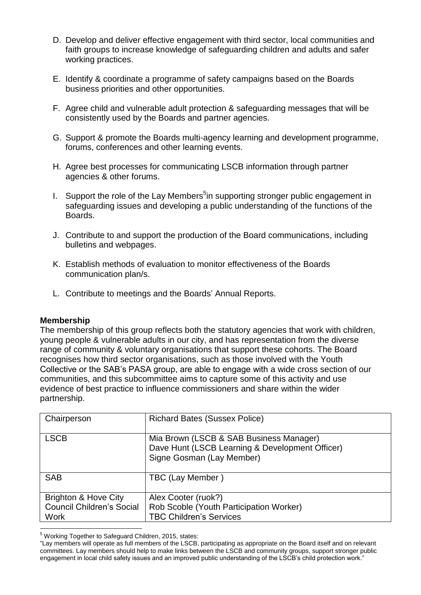- D. Develop and deliver effective engagement with third sector, local communities and faith groups to increase knowledge of safeguarding children and adults and safer working practices.
- E. Identify & coordinate a programme of safety campaigns based on the Boards business priorities and other opportunities.
- F. Agree child and vulnerable adult protection & safeguarding messages that will be consistently used by the Boards and partner agencies.
- G. Support & promote the Boards multi-agency learning and development programme, forums, conferences and other learning events.
- H. Agree best processes for communicating LSCB information through partner agencies & other forums.
- I. Support the role of the Lay Members<sup>5</sup>in supporting stronger public engagement in safeguarding issues and developing a public understanding of the functions of the Boards.
- J. Contribute to and support the production of the Board communications, including bulletins and webpages.
- K. Establish methods of evaluation to monitor effectiveness of the Boards communication plan/s.
- L. Contribute to meetings and the Boards' Annual Reports.

# **Membership**

The membership of this group reflects both the statutory agencies that work with children, young people & vulnerable adults in our city, and has representation from the diverse range of community & voluntary organisations that support these cohorts. The Board recognises how third sector organisations, such as those involved with the Youth Collective or the SAB's PASA group, are able to engage with a wide cross section of our communities, and this subcommittee aims to capture some of this activity and use evidence of best practice to influence commissioners and share within the wider partnership.

| Chairperson                      | <b>Richard Bates (Sussex Police)</b>                                                                                    |
|----------------------------------|-------------------------------------------------------------------------------------------------------------------------|
| <b>LSCB</b>                      | Mia Brown (LSCB & SAB Business Manager)<br>Dave Hunt (LSCB Learning & Development Officer)<br>Signe Gosman (Lay Member) |
| <b>SAB</b>                       | TBC (Lay Member)                                                                                                        |
| <b>Brighton &amp; Hove City</b>  | Alex Cooter (ruok?)                                                                                                     |
| <b>Council Children's Social</b> | Rob Scoble (Youth Participation Worker)                                                                                 |
| <b>Work</b>                      | <b>TBC Children's Services</b>                                                                                          |
|                                  |                                                                                                                         |

<sup>5</sup> Working Together to Safeguard Children, 2015, states:

<sup>&</sup>quot;Lay members will operate as full members of the LSCB, participating as appropriate on the Board itself and on relevant committees. Lay members should help to make links between the LSCB and community groups, support stronger public engagement in local child safety issues and an improved public understanding of the LSCB's child protection work."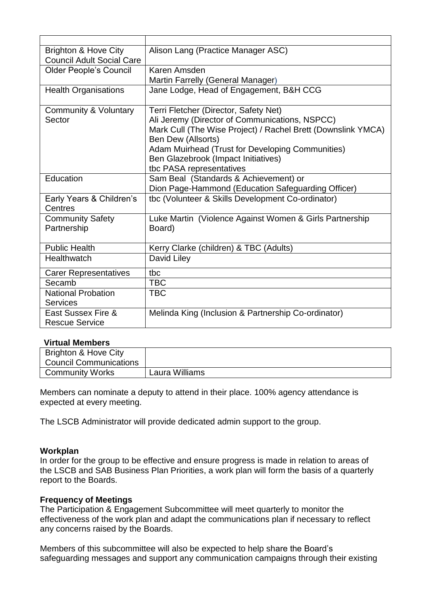| <b>Brighton &amp; Hove City</b><br><b>Council Adult Social Care</b> | Alison Lang (Practice Manager ASC)                                                                                                                                                                                                                                                                          |
|---------------------------------------------------------------------|-------------------------------------------------------------------------------------------------------------------------------------------------------------------------------------------------------------------------------------------------------------------------------------------------------------|
| <b>Older People's Council</b>                                       | Karen Amsden<br>Martin Farrelly (General Manager)                                                                                                                                                                                                                                                           |
| <b>Health Organisations</b>                                         | Jane Lodge, Head of Engagement, B&H CCG                                                                                                                                                                                                                                                                     |
| Community & Voluntary<br>Sector                                     | Terri Fletcher (Director, Safety Net)<br>Ali Jeremy (Director of Communications, NSPCC)<br>Mark Cull (The Wise Project) / Rachel Brett (Downslink YMCA)<br><b>Ben Dew (Allsorts)</b><br>Adam Muirhead (Trust for Developing Communities)<br>Ben Glazebrook (Impact Initiatives)<br>tbc PASA representatives |
| Education                                                           | Sam Beal (Standards & Achievement) or<br>Dion Page-Hammond (Education Safeguarding Officer)                                                                                                                                                                                                                 |
| Early Years & Children's<br>Centres                                 | tbc (Volunteer & Skills Development Co-ordinator)                                                                                                                                                                                                                                                           |
| <b>Community Safety</b><br>Partnership                              | Luke Martin (Violence Against Women & Girls Partnership<br>Board)                                                                                                                                                                                                                                           |
| <b>Public Health</b>                                                | Kerry Clarke (children) & TBC (Adults)                                                                                                                                                                                                                                                                      |
| Healthwatch                                                         | David Liley                                                                                                                                                                                                                                                                                                 |
| <b>Carer Representatives</b>                                        | tbc                                                                                                                                                                                                                                                                                                         |
| Secamb                                                              | <b>TBC</b>                                                                                                                                                                                                                                                                                                  |
| <b>National Probation</b><br><b>Services</b>                        | <b>TBC</b>                                                                                                                                                                                                                                                                                                  |
| East Sussex Fire &<br><b>Rescue Service</b>                         | Melinda King (Inclusion & Partnership Co-ordinator)                                                                                                                                                                                                                                                         |

#### **Virtual Members**

| Brighton & Hove City          |                |
|-------------------------------|----------------|
| <b>Council Communications</b> |                |
| <b>Community Works</b>        | Laura Williams |

Members can nominate a deputy to attend in their place. 100% agency attendance is expected at every meeting.

The LSCB Administrator will provide dedicated admin support to the group.

#### **Workplan**

In order for the group to be effective and ensure progress is made in relation to areas of the LSCB and SAB Business Plan Priorities, a work plan will form the basis of a quarterly report to the Boards.

#### **Frequency of Meetings**

The Participation & Engagement Subcommittee will meet quarterly to monitor the effectiveness of the work plan and adapt the communications plan if necessary to reflect any concerns raised by the Boards.

Members of this subcommittee will also be expected to help share the Board's safeguarding messages and support any communication campaigns through their existing